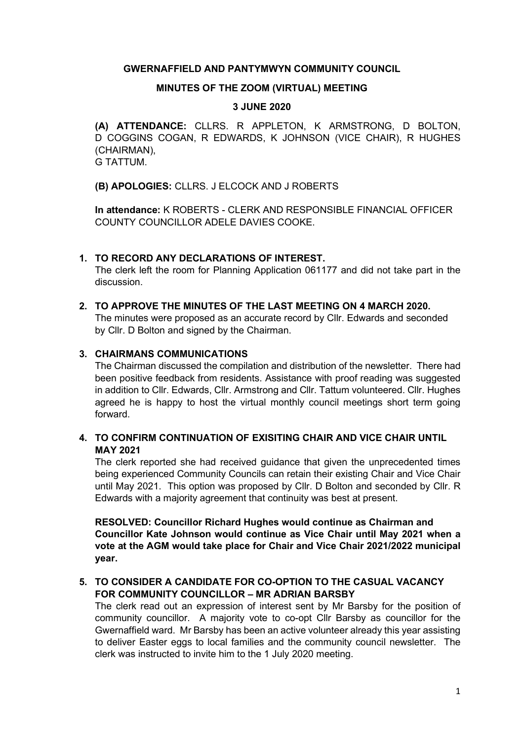### GWERNAFFIELD AND PANTYMWYN COMMUNITY COUNCIL

### MINUTES OF THE ZOOM (VIRTUAL) MEETING

# 3 JUNE 2020

(A) ATTENDANCE: CLLRS. R APPLETON, K ARMSTRONG, D BOLTON, D COGGINS COGAN, R EDWARDS, K JOHNSON (VICE CHAIR), R HUGHES (CHAIRMAN), G TATTUM.

(B) APOLOGIES: CLLRS. J ELCOCK AND J ROBERTS

In attendance: K ROBERTS - CLERK AND RESPONSIBLE FINANCIAL OFFICER COUNTY COUNCILLOR ADELE DAVIES COOKE.

### 1. TO RECORD ANY DECLARATIONS OF INTEREST. The clerk left the room for Planning Application 061177 and did not take part in the discussion.

# 2. TO APPROVE THE MINUTES OF THE LAST MEETING ON 4 MARCH 2020. The minutes were proposed as an accurate record by Cllr. Edwards and seconded by Cllr. D Bolton and signed by the Chairman.

### 3. CHAIRMANS COMMUNICATIONS

The Chairman discussed the compilation and distribution of the newsletter. There had been positive feedback from residents. Assistance with proof reading was suggested in addition to Cllr. Edwards, Cllr. Armstrong and Cllr. Tattum volunteered. Cllr. Hughes agreed he is happy to host the virtual monthly council meetings short term going forward.

# 4. TO CONFIRM CONTINUATION OF EXISITING CHAIR AND VICE CHAIR UNTIL MAY 2021

The clerk reported she had received guidance that given the unprecedented times being experienced Community Councils can retain their existing Chair and Vice Chair until May 2021. This option was proposed by Cllr. D Bolton and seconded by Cllr. R Edwards with a majority agreement that continuity was best at present.

RESOLVED: Councillor Richard Hughes would continue as Chairman and Councillor Kate Johnson would continue as Vice Chair until May 2021 when a vote at the AGM would take place for Chair and Vice Chair 2021/2022 municipal year.

# 5. TO CONSIDER A CANDIDATE FOR CO-OPTION TO THE CASUAL VACANCY FOR COMMUNITY COUNCILLOR – MR ADRIAN BARSBY

The clerk read out an expression of interest sent by Mr Barsby for the position of community councillor. A majority vote to co-opt Cllr Barsby as councillor for the Gwernaffield ward. Mr Barsby has been an active volunteer already this year assisting to deliver Easter eggs to local families and the community council newsletter. The clerk was instructed to invite him to the 1 July 2020 meeting.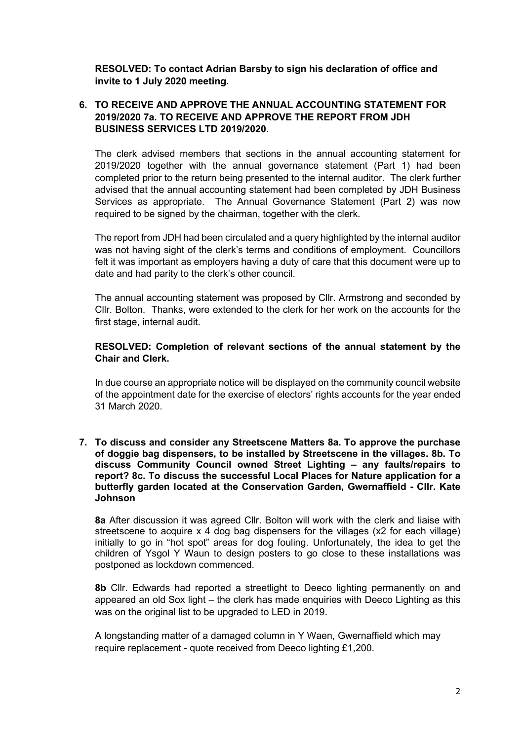RESOLVED: To contact Adrian Barsby to sign his declaration of office and invite to 1 July 2020 meeting.

# 6. TO RECEIVE AND APPROVE THE ANNUAL ACCOUNTING STATEMENT FOR 2019/2020 7a. TO RECEIVE AND APPROVE THE REPORT FROM JDH BUSINESS SERVICES LTD 2019/2020.

The clerk advised members that sections in the annual accounting statement for 2019/2020 together with the annual governance statement (Part 1) had been completed prior to the return being presented to the internal auditor. The clerk further advised that the annual accounting statement had been completed by JDH Business Services as appropriate. The Annual Governance Statement (Part 2) was now required to be signed by the chairman, together with the clerk.

The report from JDH had been circulated and a query highlighted by the internal auditor was not having sight of the clerk's terms and conditions of employment. Councillors felt it was important as employers having a duty of care that this document were up to date and had parity to the clerk's other council.

The annual accounting statement was proposed by Cllr. Armstrong and seconded by Cllr. Bolton. Thanks, were extended to the clerk for her work on the accounts for the first stage, internal audit.

### RESOLVED: Completion of relevant sections of the annual statement by the Chair and Clerk.

In due course an appropriate notice will be displayed on the community council website of the appointment date for the exercise of electors' rights accounts for the year ended 31 March 2020.

7. To discuss and consider any Streetscene Matters 8a. To approve the purchase of doggie bag dispensers, to be installed by Streetscene in the villages. 8b. To discuss Community Council owned Street Lighting – any faults/repairs to report? 8c. To discuss the successful Local Places for Nature application for a butterfly garden located at the Conservation Garden, Gwernaffield - Cllr. Kate Johnson

8a After discussion it was agreed Cllr. Bolton will work with the clerk and liaise with streetscene to acquire x 4 dog bag dispensers for the villages (x2 for each village) initially to go in "hot spot" areas for dog fouling. Unfortunately, the idea to get the children of Ysgol Y Waun to design posters to go close to these installations was postponed as lockdown commenced.

8b Cllr. Edwards had reported a streetlight to Deeco lighting permanently on and appeared an old Sox light – the clerk has made enquiries with Deeco Lighting as this was on the original list to be upgraded to LED in 2019.

A longstanding matter of a damaged column in Y Waen, Gwernaffield which may require replacement - quote received from Deeco lighting £1,200.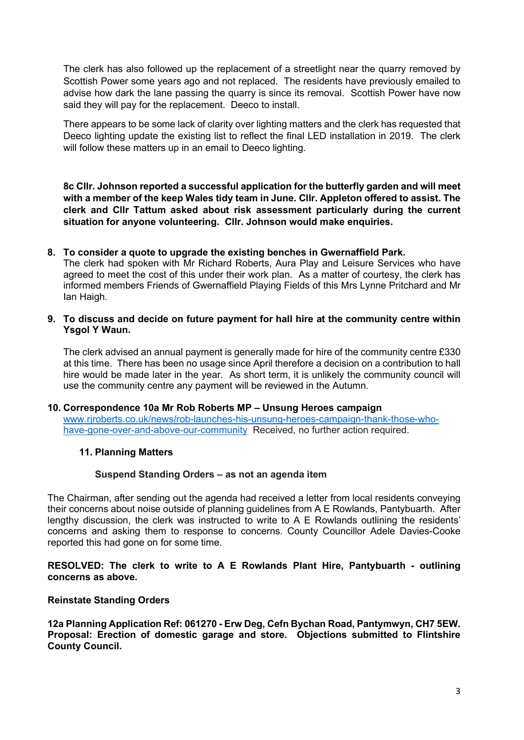The clerk has also followed up the replacement of a streetlight near the quarry removed by Scottish Power some years ago and not replaced. The residents have previously emailed to advise how dark the lane passing the quarry is since its removal. Scottish Power have now said they will pay for the replacement. Deeco to install.

There appears to be some lack of clarity over lighting matters and the clerk has requested that Deeco lighting update the existing list to reflect the final LED installation in 2019. The clerk will follow these matters up in an email to Deeco lighting.

8c Cllr. Johnson reported a successful application for the butterfly garden and will meet with a member of the keep Wales tidy team in June. Cllr. Appleton offered to assist. The clerk and Cllr Tattum asked about risk assessment particularly during the current situation for anyone volunteering. Cllr. Johnson would make enquiries.

### 8. To consider a quote to upgrade the existing benches in Gwernaffield Park.

The clerk had spoken with Mr Richard Roberts, Aura Play and Leisure Services who have agreed to meet the cost of this under their work plan. As a matter of courtesy, the clerk has informed members Friends of Gwernaffield Playing Fields of this Mrs Lynne Pritchard and Mr Ian Haigh.

9. To discuss and decide on future payment for hall hire at the community centre within Ysgol Y Waun.

The clerk advised an annual payment is generally made for hire of the community centre £330 at this time. There has been no usage since April therefore a decision on a contribution to hall hire would be made later in the year. As short term, it is unlikely the community council will use the community centre any payment will be reviewed in the Autumn.

#### 10. Correspondence 10a Mr Rob Roberts MP – Unsung Heroes campaign

www.rjroberts.co.uk/news/rob-launches-his-unsung-heroes-campaign-thank-those-whohave-gone-over-and-above-our-community Received, no further action required.

### 11. Planning Matters

### Suspend Standing Orders – as not an agenda item

The Chairman, after sending out the agenda had received a letter from local residents conveying their concerns about noise outside of planning guidelines from A E Rowlands, Pantybuarth. After lengthy discussion, the clerk was instructed to write to A E Rowlands outlining the residents' concerns and asking them to response to concerns. County Councillor Adele Davies-Cooke reported this had gone on for some time.

RESOLVED: The clerk to write to A E Rowlands Plant Hire, Pantybuarth - outlining concerns as above.

#### Reinstate Standing Orders

12a Planning Application Ref: 061270 - Erw Deg, Cefn Bychan Road, Pantymwyn, CH7 5EW. Proposal: Erection of domestic garage and store. Objections submitted to Flintshire County Council.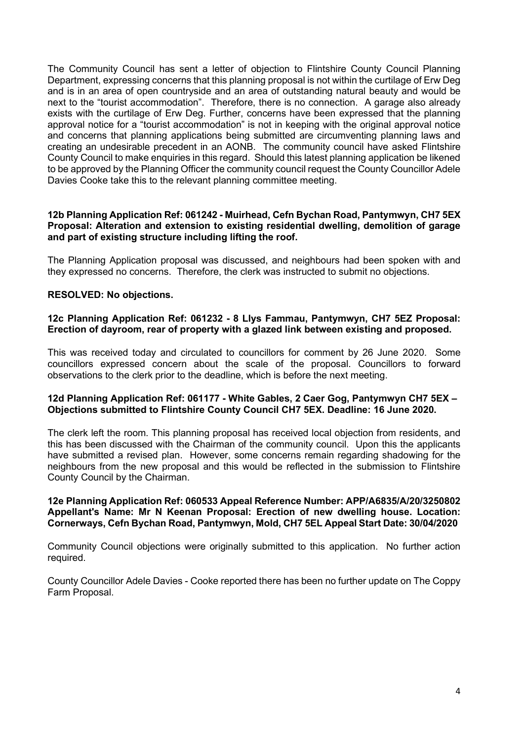The Community Council has sent a letter of objection to Flintshire County Council Planning Department, expressing concerns that this planning proposal is not within the curtilage of Erw Deg and is in an area of open countryside and an area of outstanding natural beauty and would be next to the "tourist accommodation". Therefore, there is no connection. A garage also already exists with the curtilage of Erw Deg. Further, concerns have been expressed that the planning approval notice for a "tourist accommodation" is not in keeping with the original approval notice and concerns that planning applications being submitted are circumventing planning laws and creating an undesirable precedent in an AONB. The community council have asked Flintshire County Council to make enquiries in this regard. Should this latest planning application be likened to be approved by the Planning Officer the community council request the County Councillor Adele Davies Cooke take this to the relevant planning committee meeting.

### 12b Planning Application Ref: 061242 - Muirhead, Cefn Bychan Road, Pantymwyn, CH7 5EX Proposal: Alteration and extension to existing residential dwelling, demolition of garage and part of existing structure including lifting the roof.

The Planning Application proposal was discussed, and neighbours had been spoken with and they expressed no concerns. Therefore, the clerk was instructed to submit no objections.

### RESOLVED: No objections.

### 12c Planning Application Ref: 061232 - 8 Llys Fammau, Pantymwyn, CH7 5EZ Proposal: Erection of dayroom, rear of property with a glazed link between existing and proposed.

This was received today and circulated to councillors for comment by 26 June 2020. Some councillors expressed concern about the scale of the proposal. Councillors to forward observations to the clerk prior to the deadline, which is before the next meeting.

### 12d Planning Application Ref: 061177 - White Gables, 2 Caer Gog, Pantymwyn CH7 5EX – Objections submitted to Flintshire County Council CH7 5EX. Deadline: 16 June 2020.

The clerk left the room. This planning proposal has received local objection from residents, and this has been discussed with the Chairman of the community council. Upon this the applicants have submitted a revised plan. However, some concerns remain regarding shadowing for the neighbours from the new proposal and this would be reflected in the submission to Flintshire County Council by the Chairman.

### 12e Planning Application Ref: 060533 Appeal Reference Number: APP/A6835/A/20/3250802 Appellant's Name: Mr N Keenan Proposal: Erection of new dwelling house. Location: Cornerways, Cefn Bychan Road, Pantymwyn, Mold, CH7 5EL Appeal Start Date: 30/04/2020

Community Council objections were originally submitted to this application. No further action required.

County Councillor Adele Davies - Cooke reported there has been no further update on The Coppy Farm Proposal.